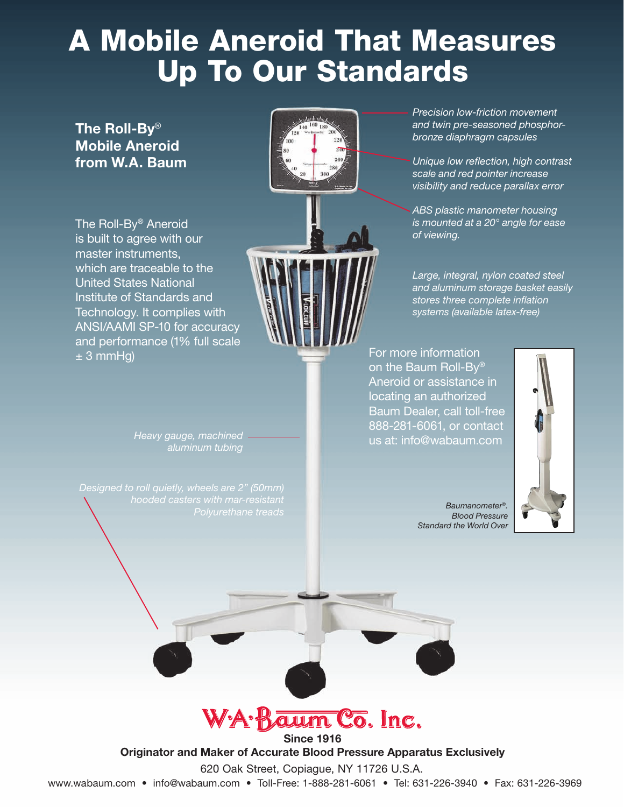# A Mobile Aneroid That Measures Up To Our Standards

The Roll-By® Mobile Aneroid from W.A. Baum

The Roll-By® Aneroid is built to agree with our master instruments, which are traceable to the United States National Institute of Standards and Technology. It complies with ANSI/AAMI SP-10 for accuracy and performance (1% full scale  $± 3$  mmHg)



*aluminum tubing*

*Polyurethane treads Baumanometer*®*.*

*Precision low-friction movement and twin pre-seasoned phosphorbronze diaphragm capsules*

*Unique low reflection, high contrast scale and red pointer increase visibility and reduce parallax error*

*ABS plastic manometer housing is mounted at a 20° angle for ease of viewing.*

*Large, integral, nylon coated steel and aluminum storage basket easily stores three complete inflation systems (available latex-free)*

For more information on the Baum Roll-By® Aneroid or assistance in locating an authorized Baum Dealer, call toll-free 888-281-6061, or contact us at: info@wabaum.com *Heavy gauge, machined*



*Blood Pressure Standard the World Over*



Since 1916

Originator and Maker of Accurate Blood Pressure Apparatus Exclusively

620 Oak Street, Copiague, NY 11726 U.S.A.

www.wabaum.com • info@wabaum.com • Toll-Free: 1-888-281-6061 • Tel: 631-226-3940 • Fax: 631-226-3969